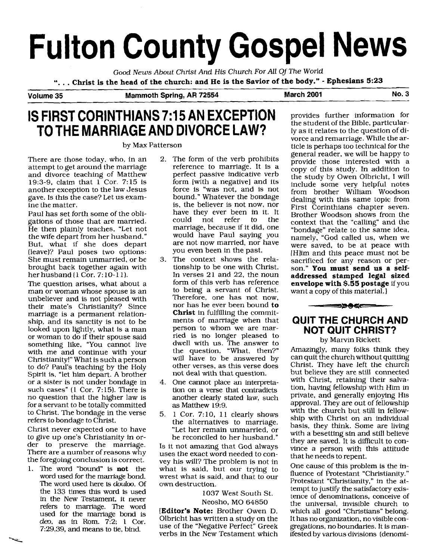# **Fulton County Gospel News**

Good *News* About Christ And His Church For *All* Of **The** World

". . . **Christ is the head of the church: and He is the Savior of the body."** - **Ephesians 5:23** 

**Volume 35 Mammoth Spring, AR 72554 March 2001 No. 3** 

## **IS FIRST CORINTHIANS 7:15 AN EXCEPTION** provides further information for **TO THE MARRIAGE AND DIVORCE LAW?**

There are those today, who, in an attempt to get around the marriage and divorce teaching of Matthew 19:3-9, claim that  $1$  Cor. 7:15 is another exception to the law Jesus gave. Is this the case? Let us examine the matter.

Paul has set forth some of the obligations of those that are married. He then plainly teaches, "Let not the wife depart from her husband." But, what if she does depart (leave)? Paul poses two options: She must remain unmarried, or be brought back together again with her husband (1 Cor. 7: 10-1 1).

The question arises, what about a man or woman whose spouse is an unbeliever and is not pleased with their mate's Christianity? Since marriage is a permanent relationship, and its sanctity is not to be looked upon lightly, what is a man or woman to do if their spouse said something like, "You cannot live with me and continue with your Christianity!" What is such a person to do? Paul's teaching by the Holy Spirit is, "let him depart. A brother or a sister is not under bondage in such cases"  $(1$  Cor. 7:15). There is no question that the higher law is for a servant to be totally committed to Christ. The bondage in the verse refers to bondage to Christ.

Christ never expected one to have to give up one's Christianity in order to preserve the marriage. There are a number of reasons why the foregoing conclusion is correct.

1. The word "bound" is **not** the word used for the marriage bond. The word used here is **douloo.** Of the 133 times this word is used in the New Testament, it never refers to marriage. The word used for the marriage bond is  $deo$ , as in Rom.  $7:2:1$  Cor. 7:29,39, and means to tie, bind.

- 2. The form of the verb prohibits reference to marriage. It is a perfect passive indicative verb form [with a negative] and its force is "was not, and is not bound." Whatever the bondage is, the believer is not now, nor have they ever been in it. It<br>could not refer to the not refer to marriage, because if it did, one would have Paul saying you are not now married, nor have you even been in the past.
- **3.** The context shows the relationship to be one with Christ. In verses  $21$  and  $22$ , the noun form of this verb has reference to being a servant of Christ. Therefore, one has not now, nor has he ever been bound **to Christ** in fulfilling the commitments of marriage when that person to whom we are married is no longer pleased to dwell with us. The answer to the question, "What, then?" will have to be answered by other verses, as this verse does not deal with that question.
- 4. One cannot place an interpretation on a verse that contradicts another clearly stated law, such as Matthew 19:9.
- 5. 1 Cor. 7:10, 11 clearly shows the alternatives to marriage. "Let her remain unmarried, or be reconciled to her husband."

Is it not amazing that God always uses the exact word needed to convey his will? The problem is not in what is said, but our trying to wrest what is said, and that to our own destruction.

> 1037 West South St. Neosho, MO 64850

**[Editor's Note:** Brother Owen **D.**  Olbricht has written a study on the use of the "Negative Perfect" Greek verbs in the New Testament which

ly as it relates to the question of divorce and remarriage. While the arby Max Patterson ticle is perhaps too technical for the generai reader, we will be happy to provide those interested with a copy of this study. In addition to the study by Owen Olbricht, I will include some very helpful notes from brother William Woodson dealing with this same topic from First Corinthians chapter seven. Brother Woodson shows from the context that the "calling" and the "bondage" relate to the same idea, namely, "God called us, when we were saved, to be at peace with IHlim and this peace must not be sacrificed for any reason or person." **You must send us a selfaddressed stamped legal sized envelope with \$.55 postage** if you want a copy of this material.

 $-$ 

## **QUIT THE CHURCH AND NOT QUIT CHRIST?**

by Marvin Rickett

Amazingly, many folks think they can quit the church without quitting Christ. They have left the church but believe they are still connected with Christ, retaining their salvation, having fellowship with Him in private, and generally enjoying His approval. They are out of fellowship with the church but still in fellowship with Christ on an individual basis, they think. Some are living with a besetting sin and still believe they are saved. It is difficult to convince a person with this attitude that he needs to repent.

One cause of this problem is the influence of Protestant "Christianity." Protestant "Christianity," in the attempt to justify the satisfactory existence of denominations, conceive of the universal, invisible church to which all good "Christians" belong. It has no organization, no visible congregations, no boundaries. It is manifested by various divisions (denomi-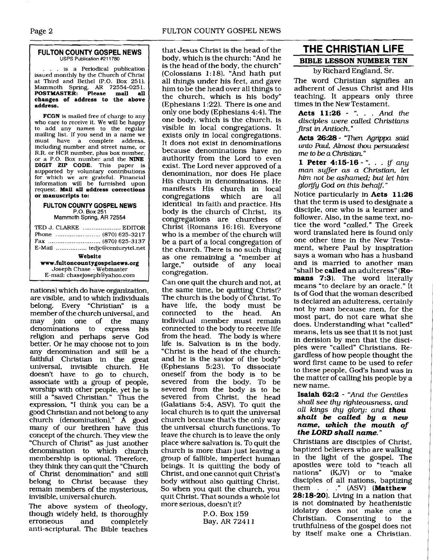#### **FULTON COllNTY GOSPEL NEWS**  USPS Publication **#211780**

... is a Periodical publication issued monthly by the Church of Christ at Third and Bethel (P.O. Box 251). Mammoth Spring, AR 72554-0251.<br>**POSTMASTER: Please mail all POSTMASTER: Please mail all changes of address to the above address.** 

**FCGN** is mailed free of charge to any who care to receive it. We will be happy to add any names to the regular mailing list. If you send in a name we must have a complete address. including number and street name, or R.R. or HCR number, plus box number, or a P.O. Box number and the **NINE DIGIT ZIP CODE.** This paper is supported by voluntary contributions for which we are grateful. Financial information will be furnished upon request. **Mail all address corrections or manuscripts to:** 

#### <sup>1</sup>**FULTON COUNTY GOSPEL NEWS**  P.O. Box 251

Mammoth **Spring, AR** 72554

| TED J. CLARKE  EDITOR          |  |  |
|--------------------------------|--|--|
|                                |  |  |
|                                |  |  |
|                                |  |  |
| Website                        |  |  |
| www.fultoncountygospelnews.org |  |  |
| Joseph Chase - Webmaster       |  |  |
| E-mail: chasejoseph@yahoo.com  |  |  |
|                                |  |  |

nations) which do have organization, are visible, and to which individuals belong. Every "Christian" is a member of the church universal, and may join one of the many denominations to express his religion and perhaps serve God better. Or he may choose not to join any denomination and still be a faithful Christian in the great universal, invisible church. He doesn't have to go to church, associate with a group of people, worship with other people, yet he is still a "saved Christian." Thus the expression, "I think you can be a good Christian and not belong to any church (denomination)."  $\overline{A}$  good many of our brethren have this concept of the church. They view the "Church of Christ" as just another denomination to which church membership is optional. Therefore, they think they can quit the "Church of Christ denomination" and still belong to Christ because they remain members of the mysterious, invisible, universal church.

The above system of theology, though widely held, is thoroughly<br>erroneous and completely completely anti-scriptural. The Bible teaches that Jesus Christ is the head of the body, which is the church: "And he is the head of the body, the church" (Colossians 1: 18). "And hath put all things under his feet, and gave him to be the head over all things to the church, which is his body" (Ephesians 1 :22). There is one and only one body (Ephesians 4:4). The one body, which is the church, is visible in local congregations. It exists only in local congregations. It does not exist in denominations because denominations have no authority from the Lord to even exist. The Lord never approved of a denomination, nor does He place His church in denominations. He manifests His church in local<br>congregations which are all congregations identical in faith and practice. His body is the church of Christ, its congregations are churches of Christ (Romans 16: 16). Everyone who is a member of the church will be a part of a local congregation of the church. There is no such thing as one remaining a "member at large," outside of any local congregation.

Can one quit the church and not, at the same time, be quitting Christ? The church is the body of Christ. To have life, the body must be<br>connected to the head. An to the head. An individual member must remain connected to the body to receive life from the head. The body is where life is. Salvation is in the body. "Christ is the head of the church: and he is the savior of the body" (Ephesians 5:23). To dissociate oneself from the body is to be severed from the body. To be severed from the body is to be severed from Christ, the head (Galatians 5:4, ASV). To quit the local church is to quit the universal church because that's the only way the universal church functions. To leave the church is to leave the only place where salvation is. To quit the church is more than just leaving a group of fallible, imperfect human beings. It is quitting the body of Christ, and one cannot quit Christ's body without also quitting Christ. So when you quit the church, you quit Christ. That sounds a whole lot more serious, doesn't it?

> P.O. Box 159 Bay, **AR** 724 1 1

## **THE** CHRISTIAN **LIFE**  BIBLE LESSON NUMBER TEN

by Richard England, Sr.

The word Christian signifies an adherent of Jesus Christ and His teaching. It appears only three times in the New Testament.

**Acts 11:26** ..... *And the disciples were called Christians first in Antioch.* "

**Acts 26:28** - *"Then Agrippa said*  **unto Paul,** *Almost thou persuadest me to be a Christian.* "

**1 Peter 4:15-16** -"... **if** *any man suffer as a Christian, let him not be ashamed; but let him glorify God on this behalf.*'

Notice particularly in **Acts 11:26**  that the term is used to designate a disciple, one who is a learner and follower. Also, in the same text, notice the word *"called."* The Greek word translated here is found only one other time in the New Testament, where Paul by inspiration says a woman who has a husband and is married to another man "shall be **called** an adulteress" (Ro**mans** 7:3). The word literally means "to declare by an oracle." It is of God that the woman described is declared an adulteress, certainly not by man because men, for the most part, do not care what she does. Understanding what "called" means, lets us see that it is not just in derision by men that the disciples were "called" Christians. Regardless of how people thought the word first came to be used to refer to these people, God's hand was in the matter of calling his people by a new name.

#### **Isaiah 62:2** - *"And the Gentiles shall see thy righteousness, and all kings thy glory: and thou shalt be called by a new name, which the mouth of the LORD shall name."*

Christians are disciples of Christ, baptized believers who are walking in the light of the gospel. The apostles were told to "teach all nations" (KJV) or to "make disciples of all nations, baptizing them .." (ASV] **(Matthew 28: 18-20).** Living in a nation that is not dominated by heathenistic idolatry does not make one a Christian. Consenting to the truthfulness of the gospel does not by itself make one a Christian.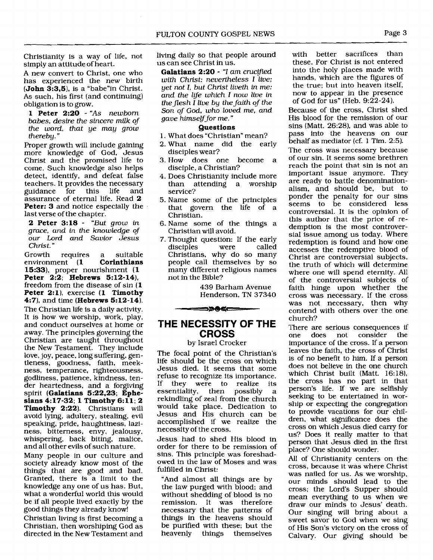Christianity is a way of life, not simply an attitude of heart.

A new convert to Christ, one who has experienced the new birth  $(John 3:3.5)$ , is a "babe" in Christ. As such, his first (and continuing) obligation is to grow.

1 Peter 2:20 - "As newborn babes, desire the sincere milk of the word, that ye may grow thereby. "

Proper growth will include gaining more knowledge of God, Jesus Christ and the promised life to come. Such knowledge also helps detect, identify, and defeat false teachers. It provides the necessary<br>guidance for this life and guidance for this assurance of eternal life. Read 2 Peter: 3 and notice especially the last verse of the chapter.

2 Peter 3:18 - "But grow in grace, and in the knowledge of our Lord **and** Savior Jesus Christ. "

Growth requires a suitable<br>environment (1 **Corinthians** environment (1 15:33), proper nourishment (1 Peter 2:2; Hebrews 5:12-14), freedom from the disease of sin (1 Peter 2:1), exercise (1 Timothy 4:71, and time (Hebrews 5:12-14).

The Christian life is a daily activity. It is how we worship, work, play, and conduct ourselves at home or away. The principles governing the Christian are taught throughout the New Testament. They include love, joy, peace, long suffering, gentleness, goodness, faith, meekness, temperance, righteousness, godliness, patience, kindness, tender heartedness, and a forgiving spirit (Galatians 5:22,23; Ephesians 4: 17-32; 1 Timothy 6: 11 ; **<sup>2</sup>** Timothy 2:22]. Christians will avoid lying, adultery, stealing, evil speaking, pride, haughtiness, laziness, bitterness, envy, jealousy, whispering, back biting, malice, and all other evils of such nature.

Many people in our culture and society already know most of the things that are good and bad. Granted, there is a limit to the knowledge any one of us has. But, what a wonderful world this would be if all people lived exactly by the good things they already know!

Christian living is first becoming a Christian, then worshiping God as directed in the New Testament and living daily so that people around us can see Christ in us.

Galatians  $2:20 - 4$  am crucified with Christ: nevertheless I live: yet not I, but Christ liveth in me: and the life which  $I$  now live in the flesh I live by the faith of the Son of God, who loved me, and gave himself for me."

#### Questions

- 1. What does "Christian" mean?
- 2. What name did the early disciples wear?
- 3. How does one become a disciple, a Christian?
- 4. Does Christianity include more than attending a worship service?
- 5. Name some of the principles that govern the life of a Christian.
- 6. Name some of the things a Christian will avoid.
- 7. Thought question: If the early disciples Christians, why do so many people call themselves by so many different religious names not in the Bible?

439 Barham Avenue Henderson, TN 37340

## **THE NECESSITY OF THE CROSS**

<u>==>>0<===</u>

by Israel Crocker

The focal point of the Christian's life should be the cross on which Jesus died. It seems that some refuse to recognize its importance.<br>If they were to realize its they were to realize its essentiality, then possibly a rekindling of zeal from the church would take place. Dedication to Jesus and His church can be accomplished if we realize the necessity of the cross.

Jesus had to shed His blood in order for there to be remission of sins. This principle was foreshadowed in the law of Moses and was fulfilled in Christ:

"And almost all things are by the law purged with blood; and without shedding of blood is no remission. It was therefore necessary that the patterns of things in the heavens should be purified with these; but the heavenly things themselves

with better sacrifices than these. For Christ is not entered into the holy places made with hands, which are the figures of the true; but into heaven itself, now to appear in the presence of God for us" (Heb. 9:22-24).

Because of the cross, Christ shed His blood for the remission of our sins (Matt. 26:28), and was able to pass into the heavens on our behalf as mediator (cf. 1 Tim. 2:5).

The cross was necessary because of our sin. It seems some brethren reach the point that sin is not an important issue anymore. They are ready to battle denominationalism, and should be, but to ponder the penalty for our sins seems to be considered less controversial. It is the opinion of this author that the price of redemption is the most controversial issue among us today. Where redemption is found and how one accesses the redemptive blood of Christ are controversial subjects, the truth of which will determine where one will spend eternity. All of the controversial subjects of faith hinge upon whether the cross was necessary. If the cross was not necessary, then why contend with others over the one church?

There are serious consequences if<br>one does not consider the one does not consider importance of the cross. If a person leaves the faith, the cross of Christ is of no benefit to him. If a person does not believe in the one church which Christ built (Matt. 16:18), the cross has no part in that person's life. If we are selfishly seeking to be entertained in worship or expecting the congregation to provide vacations for our children, what significance does the cross on which Jesus died carry for us? Does it really matter to that person that Jesus died in the flrst place? One should wonder.

All of Christianity centers on the cross, because it was where Christ was nailed for us. As we worship, our minds should lead to the cross; the Lord's Supper should mean everything to us when we draw our minds to Jesus' death. Our singing will bring about a sweet savor to God when we sing of His Son's victory on the cross of Calvary. Our giving should be